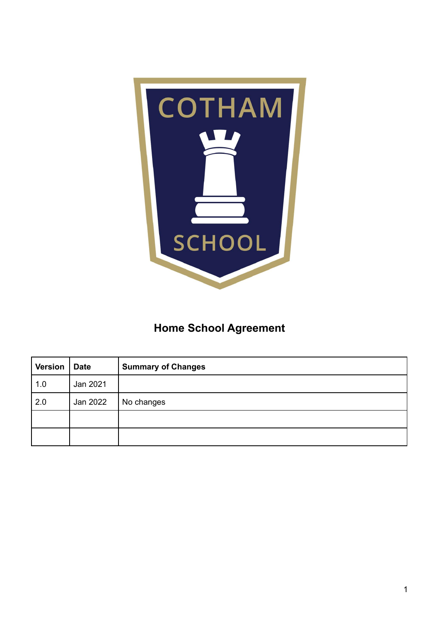

## **Home School Agreement**

| <b>Version</b> | <b>Date</b> | <b>Summary of Changes</b> |
|----------------|-------------|---------------------------|
| 1.0            | Jan 2021    |                           |
| 2.0            | Jan 2022    | No changes                |
|                |             |                           |
|                |             |                           |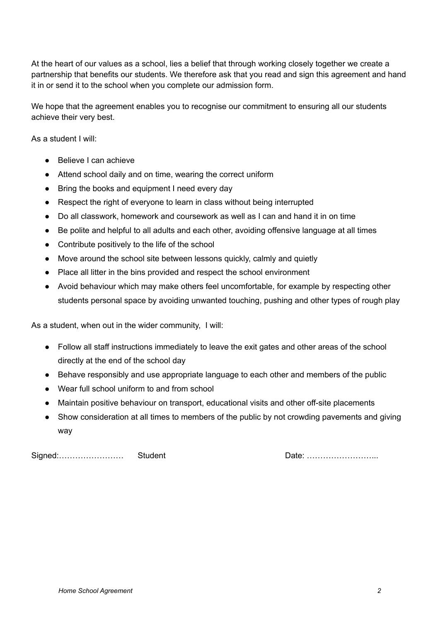At the heart of our values as a school, lies a belief that through working closely together we create a partnership that benefits our students. We therefore ask that you read and sign this agreement and hand it in or send it to the school when you complete our admission form.

We hope that the agreement enables you to recognise our commitment to ensuring all our students achieve their very best.

As a student I will:

- Believe I can achieve
- Attend school daily and on time, wearing the correct uniform
- Bring the books and equipment I need every day
- Respect the right of everyone to learn in class without being interrupted
- Do all classwork, homework and coursework as well as I can and hand it in on time
- Be polite and helpful to all adults and each other, avoiding offensive language at all times
- Contribute positively to the life of the school
- Move around the school site between lessons quickly, calmly and quietly
- Place all litter in the bins provided and respect the school environment
- Avoid behaviour which may make others feel uncomfortable, for example by respecting other students personal space by avoiding unwanted touching, pushing and other types of rough play

As a student, when out in the wider community, I will:

- Follow all staff instructions immediately to leave the exit gates and other areas of the school directly at the end of the school day
- Behave responsibly and use appropriate language to each other and members of the public
- Wear full school uniform to and from school
- Maintain positive behaviour on transport, educational visits and other off-site placements
- Show consideration at all times to members of the public by not crowding pavements and giving way

Signed:…………………… Student Date: ……………………...